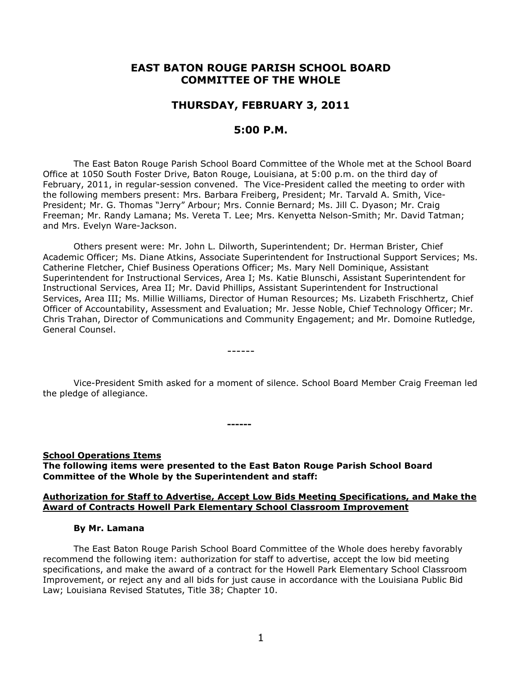# **EAST BATON ROUGE PARISH SCHOOL BOARD COMMITTEE OF THE WHOLE**

## **THURSDAY, FEBRUARY 3, 2011**

# **5:00 P.M.**

The East Baton Rouge Parish School Board Committee of the Whole met at the School Board Office at 1050 South Foster Drive, Baton Rouge, Louisiana, at 5:00 p.m. on the third day of February, 2011, in regular-session convened. The Vice-President called the meeting to order with the following members present: Mrs. Barbara Freiberg, President; Mr. Tarvald A. Smith, Vice-President; Mr. G. Thomas "Jerry" Arbour; Mrs. Connie Bernard; Ms. Jill C. Dyason; Mr. Craig Freeman; Mr. Randy Lamana; Ms. Vereta T. Lee; Mrs. Kenyetta Nelson-Smith; Mr. David Tatman; and Mrs. Evelyn Ware-Jackson.

Others present were: Mr. John L. Dilworth, Superintendent; Dr. Herman Brister, Chief Academic Officer; Ms. Diane Atkins, Associate Superintendent for Instructional Support Services; Ms. Catherine Fletcher, Chief Business Operations Officer; Ms. Mary Nell Dominique, Assistant Superintendent for Instructional Services, Area I; Ms. Katie Blunschi, Assistant Superintendent for Instructional Services, Area II; Mr. David Phillips, Assistant Superintendent for Instructional Services, Area III; Ms. Millie Williams, Director of Human Resources; Ms. Lizabeth Frischhertz, Chief Officer of Accountability, Assessment and Evaluation; Mr. Jesse Noble, Chief Technology Officer; Mr. Chris Trahan, Director of Communications and Community Engagement; and Mr. Domoine Rutledge, General Counsel.

Vice-President Smith asked for a moment of silence. School Board Member Craig Freeman led the pledge of allegiance.

**School Operations Items The following items were presented to the East Baton Rouge Parish School Board Committee of the Whole by the Superintendent and staff:**

**------**

------

### **Authorization for Staff to Advertise, Accept Low Bids Meeting Specifications, and Make the Award of Contracts Howell Park Elementary School Classroom Improvement**

#### **By Mr. Lamana**

The East Baton Rouge Parish School Board Committee of the Whole does hereby favorably recommend the following item: authorization for staff to advertise, accept the low bid meeting specifications, and make the award of a contract for the Howell Park Elementary School Classroom Improvement, or reject any and all bids for just cause in accordance with the Louisiana Public Bid Law; Louisiana Revised Statutes, Title 38; Chapter 10.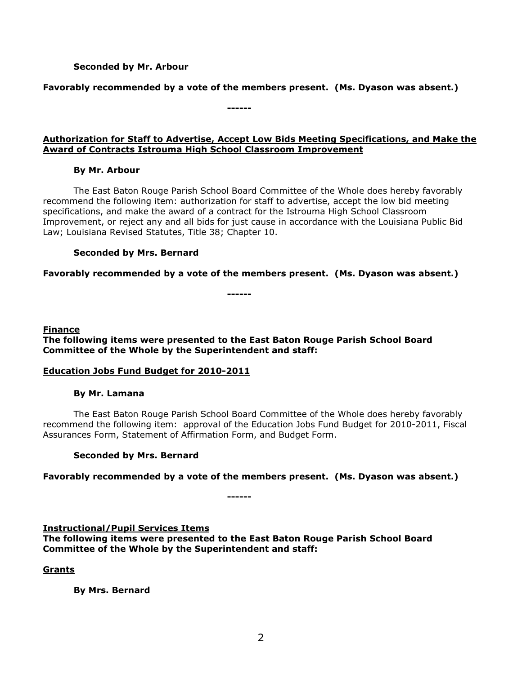## **Seconded by Mr. Arbour**

**Favorably recommended by a vote of the members present. (Ms. Dyason was absent.)**

**------**

**Authorization for Staff to Advertise, Accept Low Bids Meeting Specifications, and Make the Award of Contracts Istrouma High School Classroom Improvement**

## **By Mr. Arbour**

The East Baton Rouge Parish School Board Committee of the Whole does hereby favorably recommend the following item: authorization for staff to advertise, accept the low bid meeting specifications, and make the award of a contract for the Istrouma High School Classroom Improvement, or reject any and all bids for just cause in accordance with the Louisiana Public Bid Law; Louisiana Revised Statutes, Title 38; Chapter 10.

## **Seconded by Mrs. Bernard**

**Favorably recommended by a vote of the members present. (Ms. Dyason was absent.)**

**------**

## **Finance**

**The following items were presented to the East Baton Rouge Parish School Board Committee of the Whole by the Superintendent and staff:**

## **Education Jobs Fund Budget for 2010-2011**

## **By Mr. Lamana**

The East Baton Rouge Parish School Board Committee of the Whole does hereby favorably recommend the following item: approval of the Education Jobs Fund Budget for 2010-2011, Fiscal Assurances Form, Statement of Affirmation Form, and Budget Form.

## **Seconded by Mrs. Bernard**

**Favorably recommended by a vote of the members present. (Ms. Dyason was absent.)**

**Instructional/Pupil Services Items**

**The following items were presented to the East Baton Rouge Parish School Board Committee of the Whole by the Superintendent and staff:**

**------**

## **Grants**

**By Mrs. Bernard**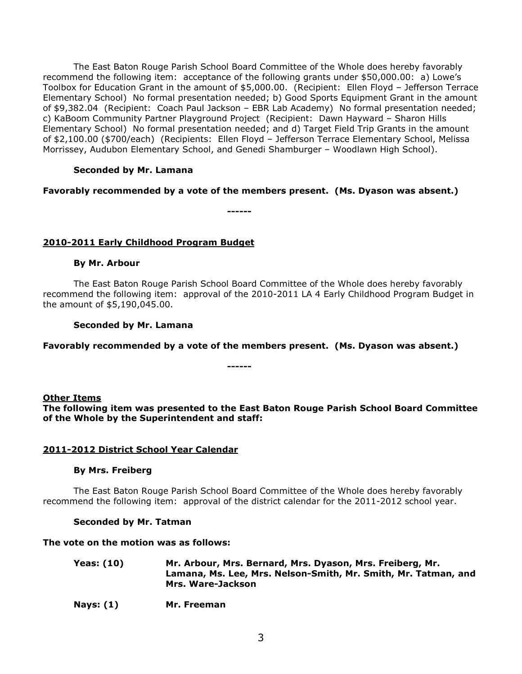The East Baton Rouge Parish School Board Committee of the Whole does hereby favorably recommend the following item: acceptance of the following grants under \$50,000.00: a) Lowe's Toolbox for Education Grant in the amount of \$5,000.00. (Recipient: Ellen Floyd – Jefferson Terrace Elementary School) No formal presentation needed; b) Good Sports Equipment Grant in the amount of \$9,382.04 (Recipient: Coach Paul Jackson – EBR Lab Academy) No formal presentation needed; c) KaBoom Community Partner Playground Project (Recipient: Dawn Hayward – Sharon Hills Elementary School) No formal presentation needed; and d) Target Field Trip Grants in the amount of \$2,100.00 (\$700/each) (Recipients: Ellen Floyd – Jefferson Terrace Elementary School, Melissa Morrissey, Audubon Elementary School, and Genedi Shamburger – Woodlawn High School).

## **Seconded by Mr. Lamana**

## **Favorably recommended by a vote of the members present. (Ms. Dyason was absent.)**

**------**

## **2010-2011 Early Childhood Program Budget**

### **By Mr. Arbour**

The East Baton Rouge Parish School Board Committee of the Whole does hereby favorably recommend the following item: approval of the 2010-2011 LA 4 Early Childhood Program Budget in the amount of \$5,190,045.00.

### **Seconded by Mr. Lamana**

## **Favorably recommended by a vote of the members present. (Ms. Dyason was absent.)**

**------**

### **Other Items**

**The following item was presented to the East Baton Rouge Parish School Board Committee of the Whole by the Superintendent and staff:**

## **2011-2012 District School Year Calendar**

### **By Mrs. Freiberg**

The East Baton Rouge Parish School Board Committee of the Whole does hereby favorably recommend the following item: approval of the district calendar for the 2011-2012 school year.

### **Seconded by Mr. Tatman**

### **The vote on the motion was as follows:**

- **Yeas: (10) Mr. Arbour, Mrs. Bernard, Mrs. Dyason, Mrs. Freiberg, Mr. Lamana, Ms. Lee, Mrs. Nelson-Smith, Mr. Smith, Mr. Tatman, and Mrs. Ware-Jackson**
- **Nays: (1) Mr. Freeman**